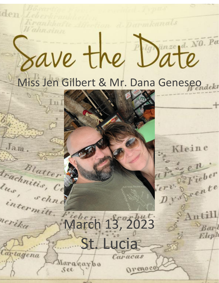# Wahnsinn Save the Date

d. Darmkanals

Kleine

 $\frac{1}{D}$ 

 $e^{n}$ 

Fieber

mtill

Barl

Eleph

Lucia

OPEROCO

intermitt. March 13, 2023

aragaybo

See

den

Jam,

Blatter

schne

Irachnitis, Ce

lus,

nerika

Cartagena

Krankhafte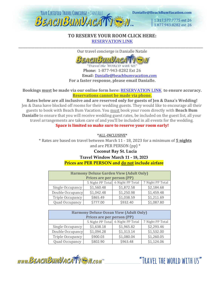

1.317.577.7775 ext 26 1.877,943,8282 ext 26

#### **TO RESERVE YOUR ROOM CLICK HERE:** [RESERVATION LINK](https://www.vacationcrm.com/IFrameRegistration/Group?lookupid=f04af814-d522-4b01-b822-4cdfa9b048e2&groupid=cc684e51-1ef5-424e-89c1-e39d0a58e01c) \_\_\_\_\_\_\_\_\_\_\_\_\_\_\_\_\_\_\_\_\_\_\_\_\_\_\_\_\_\_\_\_\_\_\_\_\_\_\_\_\_\_\_\_\_\_\_\_\_\_\_\_\_\_\_\_\_\_\_\_\_\_\_\_\_\_\_\_\_\_\_\_\_\_\_\_\_\_\_\_\_\_\_\_\_\_\_\_\_\_\_\_\_\_\_\_\_\_\_\_\_\_\_\_\_\_\_\_\_\_\_\_\_\_\_\_

Our travel concierge is Danialle Natale



Travel the WORLD with US' Phone: 1-877-943-8282 Ext 26 Email: [Danialle@beachbumvacation.com](mailto:Danialle@beachbumvacation.com) **For a faster response, please email Danialle.**

**Bookings must be made via our online form here:** [RESERVATION LINK](https://www.vacationcrm.com/IFrameRegistration/Group?lookupid=f04af814-d522-4b01-b822-4cdfa9b048e2&groupid=cc684e51-1ef5-424e-89c1-e39d0a58e01c) **[t](http://www.beachbumvacation.com/reservation)o ensure accuracy. Reservations cannot be made via phone.**

**Rates below are all inclusive and are reserved only for guests of Jen & Dana's Wedding!** Jen & Dana have blocked off rooms for their wedding guests. They would like to encourage all their guests to book with Beach Bum Vacation. You must book your room directly with **Beach Bum Danialle** to ensure that you will receive wedding guest rates, be included on the guest list, all your travel arrangements are taken care of and you'll be included in all events for the wedding. **Space is limited so make sure to reserve your room early!**

\*ALL-INCLUSIVE\*

\* Rates are based on travel between March 11 - 18, 2023 for a minimum of **5 nights** and are PER PERSON (pp) \*

### **Coconut Bay St. Lucia**

**Travel Window March 11 - 18, 2023**

**Prices are PER PERSON and do not include airfare**

| <b>Harmony Deluxe Garden View (Adult Only)</b><br>Prices are per person (PP) |            |                                   |                  |  |  |
|------------------------------------------------------------------------------|------------|-----------------------------------|------------------|--|--|
|                                                                              |            |                                   |                  |  |  |
|                                                                              |            | 5 Night PP Total 6 Night PP Total | 7 Night PP Total |  |  |
| Single Occupancy                                                             | \$1,560.48 | \$1,872.58                        | \$2,184.68       |  |  |
| Double Occupancy                                                             | \$1,042.48 | \$1,250.98                        | \$1,459.48       |  |  |
| Triple Occupancy                                                             | \$865.49   | \$1,038.59                        | \$1,211.69       |  |  |
| Quad Occupancy                                                               | \$777.00   | \$932.40                          | \$1,087.80       |  |  |

| <b>Harmony Deluxe Ocean View (Adult Only)</b><br>Prices are per person (PP) |            |                                   |                  |  |  |
|-----------------------------------------------------------------------------|------------|-----------------------------------|------------------|--|--|
|                                                                             |            | 5 Night PP Total 6 Night PP Total | 7 Night PP Total |  |  |
| Single Occupancy                                                            | \$1,638.18 | \$1,965.82                        | \$2,293.46       |  |  |
| Double Occupancy                                                            | \$1,094.28 | \$1,313.14                        | \$1,532.00       |  |  |
| Triple Occupancy                                                            | \$900.03   | \$1,080.04                        | \$1,260.05       |  |  |
| Quad Occupancy                                                              | \$802.90   | \$963.48                          | \$1,124.06       |  |  |

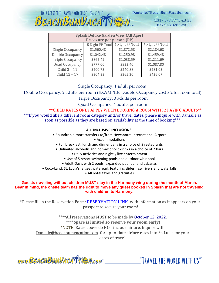

1.317.577.7775 ext 26 1.877.943.8282 ext 26

| <b>Splash Deluxe Garden View (All Ages)</b> |            |                                   |                  |  |  |
|---------------------------------------------|------------|-----------------------------------|------------------|--|--|
| Prices are per person (PP)                  |            |                                   |                  |  |  |
|                                             |            | 5 Night PP Total 6 Night PP Total | 7 Night PP Total |  |  |
| Single Occupancy                            | \$1,560.48 | \$1,872.58                        | \$2,184.68       |  |  |
| Double Occupancy                            | \$1,042.48 | \$1,250.98                        | \$1,459.48       |  |  |
| Triple Occupancy                            | \$865.49   | \$1,038.59                        | \$1,211.69       |  |  |
| Quad Occupancy                              | \$777.00   | \$932.40                          | \$1,087.80       |  |  |
| Child $3 - 11$                              | \$200.73   | \$240.88                          | \$281.03         |  |  |
| Child 12 - 17                               | \$304.33   | \$365.20                          | \$426.07         |  |  |

#### Single Occupancy: 1 adult per room

Double Occupancy: 2 adults per room (EXAMPLE: Double Occupancy cost x 2 for room total)

Triple Occupancy: 3 adults per room

Quad Occupancy: 4 adults per room

\*\*CHILD RATES ONLY APPLY WHEN BOOKING A ROOM WITH 2 PAYING ADULTS\*\* \*\*\*If you would like a different room category and/or travel dates, please inquire with Danialle as soon as possible as they are based on availability at the time of booking\*\*\*

#### **ALL-INCLUSIVE INCLUSIONS:**

• Roundtrip airport transfers to/from Hewanorra International Airport

• Accommodations

• Full breakfast, lunch and dinner daily in a choice of 8 restaurants

• Unlimited alcoholic and non-alcoholic drinks in a choice of 7 bars

• Daily activities and nightly live entertainment

- Use of 5 resort swimming pools and outdoor whirlpool
- Adult Oasis with 2 pools, expanded pool bar and cabanas
- Coco-Land: St. Lucia's largest waterpark featuring slides, lazy rivers and waterfalls

• All hotel taxes and gratuities

#### **Guests traveling without children MUST stay in the Harmony wing during the month of March. Bear in mind, the onsite team has the right to move any guest booked in Splash that are not traveling with children to Harmony.**

\*Please fill in the Reservation Form: [RESERVATION LINK](https://www.vacationcrm.com/IFrameRegistration/Group?lookupid=f04af814-d522-4b01-b822-4cdfa9b048e2&groupid=cc684e51-1ef5-424e-89c1-e39d0a58e01c) [w](http://www.beachbumvacation.com/reservation)ith information as it appears on your passport to secure your room!

\*\*\*\*All reservations MUST to be made by October 12, 2022. \*\*\*\***Space is limited so reserve your room early!** \*NOTE: Rates above do NOT include airfare. Inquire with Danialle@beachbumvacation.com for up-to-date airfare rates into St. Lucia for your dates of travel.

www.BEACHBUMVACATTE M.com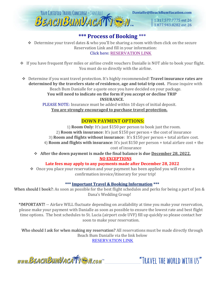

# **\*\*\* Process of Booking** \*\*\*

❖ Determine your travel dates & who you'll be sharing a room with then click on the secure Reservation Link and fill in your information: Click here: [RESERVATION LINK](https://www.vacationcrm.com/IFrameRegistration/Group?lookupid=f04af814-d522-4b01-b822-4cdfa9b048e2&groupid=cc684e51-1ef5-424e-89c1-e39d0a58e01c)

- ❖ If you have frequent flyer miles or airline credit vouchers Danialle is NOT able to book your flight. You must do so directly with the airline.
- ❖ Determine if you want travel protection. It's highly recommended! **Travel insurance rates are determined by the travelers state of residence, age and total trip cost.** Please inquire with Beach Bum Danialle for a quote once you have decided on your package. **You will need to indicate on the form if you accept or decline TRIP**

**INSURANCE.**

PLEASE NOTE: Insurance must be added within 10 days of initial deposit. **You are strongly encouraged to purchase travel protection.**

# **DOWN PAYMENT OPTIONS:**

1) **Room Only**: It's just \$150 per person to book just the room. 2) **Room with insurance**: It's just \$150 per person + the cost of insurance 3) **Room and flights without insurance**: It's \$150 per person + total airfare cost. 4) **Room and flights with insurance**: It's just \$150 per person + total airfare cost + the cost of insurance

❖ **After the down payment is made the final balance is due December 28, 2022. NO EXCEPTIONS**

#### **Late fees may apply to any payments made after December 28, 2022**

❖ Once you place your reservation and your payment has been applied you will receive a confirmation invoice/itinerary for your trip!

#### **\*\*\* Important Travel & Booking Information \*\*\***

When should I book?: As soon as possible for the best flight schedules and perks for being a part of Jen & Dana's Wedding Group!

\*IMPORTANT! -- Airfare WILL fluctuate depending on availability at time you make your reservation, please make your payment with Danialle as soon as possible to ensure the lowest rate and best flight time options. The best schedules to St. Lucia (airport code UVF) fill up quickly so please contact her soon to make your reservation.

Who should I ask for when making my reservation? All reservations must be made directly through Beach Bum Danialle via the link below [RESERVATION LINK](https://www.vacationcrm.com/IFrameRegistration/Group?lookupid=f04af814-d522-4b01-b822-4cdfa9b048e2&groupid=958875c4-a2c0-4f54-8dba-7b087916f547)

www.BEACHBUMVACATTE M.com